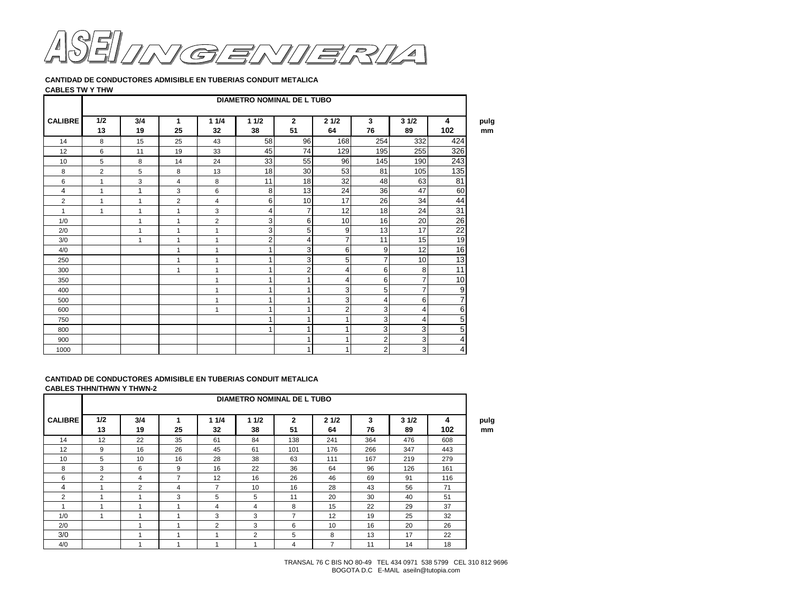

**CANTIDAD DE CONDUCTORES ADMISIBLE EN TUBERIAS CONDUIT METALICA**

## **CABLES TW Y THW**

|                | <b>DIAMETRO NOMINAL DE L TUBO</b> |              |                   |                |              |                      |                |                |                |                |  |  |  |  |
|----------------|-----------------------------------|--------------|-------------------|----------------|--------------|----------------------|----------------|----------------|----------------|----------------|--|--|--|--|
| <b>CALIBRE</b> | 1/2<br>13                         | 3/4<br>19    | $\mathbf 1$<br>25 | 11/4<br>32     | 11/2<br>38   | $\overline{2}$<br>51 | 21/2<br>64     | 3<br>76        | 31/2<br>89     | 4<br>102       |  |  |  |  |
| 14             | 8                                 | 15           | 25                | 43             | 58           | 96                   | 168            | 254            | 332            | 424            |  |  |  |  |
| 12             | 6                                 | 11           | 19                | 33             | 45           | 74                   | 129            | 195            | 255            | 326            |  |  |  |  |
| 10             | 5                                 | 8            | 14                | 24             | 33           | 55                   | 96             | 145            | 190            | 243            |  |  |  |  |
| 8              | $\overline{2}$                    | 5            | 8                 | 13             | 18           | 30                   | 53             | 81             | 105            | 135            |  |  |  |  |
| 6              | $\mathbf{1}$                      | 3            | $\overline{4}$    | 8              | 11           | 18                   | 32             | 48             | 63             | 81             |  |  |  |  |
| $\overline{4}$ | $\mathbf{1}$                      | $\mathbf{1}$ | 3                 | 6              | 8            | 13                   | 24             | 36             | 47             | 60             |  |  |  |  |
| 2              | 1                                 | 1            | $\overline{2}$    | $\overline{4}$ | 6            | 10                   | 17             | 26             | 34             | 44             |  |  |  |  |
| 1              | 1                                 | 1            | -1                | 3              | 4            | $\overline{7}$       | 12             | 18             | 24             | 31             |  |  |  |  |
| 1/0            |                                   | 1            | $\mathbf{1}$      | 2              | 3            | 6                    | 10             | 16             | 20             | 26             |  |  |  |  |
| 2/0            |                                   | 1            | $\mathbf{1}$      | 1              | 3            | 5                    | 9              | 13             | 17             | 22             |  |  |  |  |
| 3/0            |                                   | $\mathbf{1}$ | $\mathbf{1}$      | 1              | 2            | 4                    | $\overline{7}$ | 11             | 15             | 19             |  |  |  |  |
| 4/0            |                                   |              | $\mathbf{1}$      | 1              |              | 3                    | 6              | 9              | 12             | 16             |  |  |  |  |
| 250            |                                   |              | $\mathbf{1}$      | 1              | 1            | 3                    | 5              | 7              | 10             | 13             |  |  |  |  |
| 300            |                                   |              | $\mathbf{1}$      | 1              | 1            | $\overline{2}$       | 4              | 6              | 8              | 11             |  |  |  |  |
| 350            |                                   |              |                   | 1              |              | 1                    | 4              | 6              | $\overline{7}$ | 10             |  |  |  |  |
| 400            |                                   |              |                   | 1              |              | 1                    | 3              | 5              | $\overline{7}$ | 9              |  |  |  |  |
| 500            |                                   |              |                   | 1              |              | 1                    | 3              | 4              | 6              | 7              |  |  |  |  |
| 600            |                                   |              |                   | 1              | $\mathbf{1}$ | $\mathbf{1}$         | $\overline{2}$ | 3              | $\overline{4}$ | 6              |  |  |  |  |
| 750            |                                   |              |                   |                |              | 1                    | 1              | 3              | 4              | 5              |  |  |  |  |
| 800            |                                   |              |                   |                |              | 1                    | 1              | 3              | 3              | $\overline{5}$ |  |  |  |  |
| 900            |                                   |              |                   |                |              | $\mathbf{1}$         | 1              | 2              | 3              | 4              |  |  |  |  |
| 1000           |                                   |              |                   |                |              | 1 <sub>1</sub>       | 1              | $\overline{c}$ | $\mathbf{3}$   | $\overline{4}$ |  |  |  |  |

## **CANTIDAD DE CONDUCTORES ADMISIBLE EN TUBERIAS CONDUIT METALICA CABLES THHN/THWN Y THWN-2**

| <b>DIAMETRO NOMINAL DE L TUBO</b> |           |           |                         |                          |            |                      |            |         |            |          |            |
|-----------------------------------|-----------|-----------|-------------------------|--------------------------|------------|----------------------|------------|---------|------------|----------|------------|
| <b>CALIBRE</b>                    | 1/2<br>13 | 3/4<br>19 | 25                      | 11/4<br>32               | 11/2<br>38 | $\overline{2}$<br>51 | 21/2<br>64 | 3<br>76 | 31/2<br>89 | 4<br>102 | pulg<br>mm |
| 14                                | 12        | 22        | 35                      | 61                       | 84         | 138                  | 241        | 364     | 476        | 608      |            |
| 12                                | 9         | 16        | 26                      | 45                       | 61         | 101                  | 176        | 266     | 347        | 443      |            |
| 10                                | 5         | 10        | 16                      | 28                       | 38         | 63                   | 111        | 167     | 219        | 279      |            |
| 8                                 | 3         | 6         | 9                       | 16                       | 22         | 36                   | 64         | 96      | 126        | 161      |            |
| 6                                 | 2         | 4         | $\overline{7}$          | 12                       | 16         | 26                   | 46         | 69      | 91         | 116      |            |
| 4                                 |           | 2         | 4                       | $\overline{\phantom{a}}$ | 10         | 16                   | 28         | 43      | 56         | 71       |            |
| 2                                 |           | ٠         | 3                       | 5                        | 5          | 11                   | 20         | 30      | 40         | 51       |            |
|                                   |           |           | $\overline{\mathbf{A}}$ | 4                        | 4          | 8                    | 15         | 22      | 29         | 37       |            |
| 1/0                               |           |           |                         | 3                        | 3          | $\overline{7}$       | 12         | 19      | 25         | 32       |            |
| 2/0                               |           |           |                         | 2                        | 3          | 6                    | 10         | 16      | 20         | 26       |            |
| 3/0                               |           |           | $\overline{\mathbf{A}}$ |                          | 2          | 5                    | 8          | 13      | 17         | 22       |            |
| 4/0                               |           |           |                         |                          | ٠          | 4                    | 7          | 11      | 14         | 18       |            |

TRANSAL 76 C BIS NO 80-49 TEL 434 0971 538 5799 CEL 310 812 9696 BOGOTA D.C E-MAIL aseiln@tutopia.com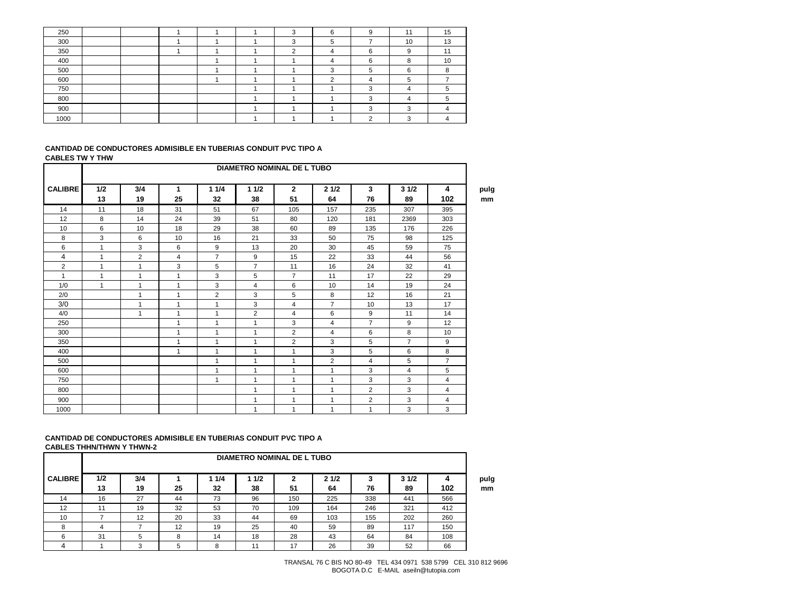| 250  |  |  |  | $\sim$ | 9      | 44          | 15 |
|------|--|--|--|--------|--------|-------------|----|
| 300  |  |  |  |        |        | 10          | 13 |
| 350  |  |  |  |        | $\sim$ | a           |    |
| 400  |  |  |  |        | 6      | 8           | 10 |
| 500  |  |  |  |        |        | $\sim$<br>n |    |
| 600  |  |  |  | ີ      |        |             |    |
| 750  |  |  |  |        |        |             |    |
| 800  |  |  |  |        |        |             |    |
| 900  |  |  |  |        | ◠      | $\sqrt{2}$  |    |
| 1000 |  |  |  |        | ົ      | $\sqrt{2}$  |    |

#### **CANTIDAD DE CONDUCTORES ADMISIBLE EN TUBERIAS CONDUIT PVC TIPO A CABLES TW Y THW**

|                | <b>DIAMETRO NOMINAL DE L TUBO</b> |              |                |                |                |                      |                |                |                |                |  |  |  |  |
|----------------|-----------------------------------|--------------|----------------|----------------|----------------|----------------------|----------------|----------------|----------------|----------------|--|--|--|--|
| <b>CALIBRE</b> | 1/2<br>13                         | 3/4<br>19    | 1<br>25        | 11/4<br>32     | 11/2<br>38     | $\overline{2}$<br>51 | 21/2<br>64     | 3<br>76        | 31/2<br>89     | 4<br>102       |  |  |  |  |
| 14             | 11                                | 18           | 31             | 51             | 67             | 105                  | 157            | 235            | 307            | 395            |  |  |  |  |
| 12             | 8                                 | 14           | 24             | 39             | 51             | 80                   | 120            | 181            | 2369           | 303            |  |  |  |  |
| 10             | 6                                 | 10           | 18             | 29             | 38             | 60                   | 89             | 135            | 176            | 226            |  |  |  |  |
| 8              | 3                                 | 6            | 10             | 16             | 21             | 33                   | 50             | 75             | 98             | 125            |  |  |  |  |
| 6              | $\mathbf{1}$                      | 3            | 6              | 9              | 13             | 20                   | 30             | 45             | 59             | 75             |  |  |  |  |
| 4              | $\mathbf{1}$                      | 2            | $\overline{4}$ | $\overline{7}$ | 9              | 15                   | 22             | 33             | 44             | 56             |  |  |  |  |
| 2              | $\mathbf{1}$                      | 1            | 3              | 5              | $\overline{7}$ | 11                   | 16             | 24             | 32             | 41             |  |  |  |  |
| 1              | $\mathbf{1}$                      | 1            | $\mathbf{1}$   | 3              | 5              | $\overline{7}$       | 11             | 17             | 22             | 29             |  |  |  |  |
| 1/0            | $\mathbf{1}$                      | 1            | $\mathbf{1}$   | 3              | 4              | 6                    | 10             | 14             | 19             | 24             |  |  |  |  |
| 2/0            |                                   | $\mathbf{1}$ | $\mathbf{1}$   | $\overline{2}$ | 3              | 5                    | 8              | 12             | 16             | 21             |  |  |  |  |
| 3/0            |                                   | 1            | $\mathbf{1}$   | $\mathbf{1}$   | 3              | $\overline{4}$       | $\overline{7}$ | 10             | 13             | 17             |  |  |  |  |
| 4/0            |                                   | 1            | -1             | 1              | $\overline{2}$ | 4                    | 6              | 9              | 11             | 14             |  |  |  |  |
| 250            |                                   |              | $\mathbf{1}$   | 1              | 1              | 3                    | 4              | $\overline{7}$ | 9              | 12             |  |  |  |  |
| 300            |                                   |              | $\mathbf{1}$   | 1              | 1              | $\overline{2}$       | 4              | 6              | 8              | 10             |  |  |  |  |
| 350            |                                   |              | $\mathbf{1}$   | $\mathbf{1}$   | 1              | $\overline{2}$       | 3              | 5              | $\overline{7}$ | 9              |  |  |  |  |
| 400            |                                   |              | $\mathbf{1}$   | 1              | 1              | $\overline{1}$       | 3              | 5              | 6              | 8              |  |  |  |  |
| 500            |                                   |              |                | 1              | 1              | 1                    | $\overline{2}$ | 4              | 5              | $\overline{7}$ |  |  |  |  |
| 600            |                                   |              |                | 1              | 1              | 1                    | 1              | 3              | $\overline{4}$ | 5              |  |  |  |  |
| 750            |                                   |              |                | $\mathbf{1}$   | 1              | $\overline{1}$       | $\mathbf{1}$   | 3              | 3              | 4              |  |  |  |  |
| 800            |                                   |              |                |                | 1              | 1                    | $\mathbf{1}$   | $\overline{2}$ | 3              | 4              |  |  |  |  |
| 900            |                                   |              |                |                | 1              | $\overline{1}$       | $\mathbf{1}$   | $\overline{2}$ | 3              | $\overline{4}$ |  |  |  |  |
| 1000           |                                   |              |                |                | 1              | $\overline{1}$       | $\mathbf{1}$   | $\mathbf{1}$   | 3              | 3              |  |  |  |  |

# **CANTIDAD DE CONDUCTORES ADMISIBLE EN TUBERIAS CONDUIT PVC TIPO A CABLES THHN/THWN Y THWN-2**

|                | <b>DIAMETRO NOMINAL DE L TUBO</b> |           |    |             |             |         |            |     |            |     |            |  |  |
|----------------|-----------------------------------|-----------|----|-------------|-------------|---------|------------|-----|------------|-----|------------|--|--|
| <b>CALIBRE</b> | 1/2<br>13                         | 3/4<br>19 | 25 | 1 1/4<br>32 | 1 1/2<br>38 | 2<br>51 | 21/2<br>64 | 76  | 31/2<br>89 | 102 | pulg<br>mm |  |  |
| 14             | 16                                | 27        | 44 | 73          | 96          | 150     | 225        | 338 | 441        | 566 |            |  |  |
| 12             | 11                                | 19        | 32 | 53          | 70          | 109     | 164        | 246 | 321        | 412 |            |  |  |
| 10             |                                   | 12        | 20 | 33          | 44          | 69      | 103        | 155 | 202        | 260 |            |  |  |
| 8              |                                   |           | 12 | 19          | 25          | 40      | 59         | 89  | 117        | 150 |            |  |  |
| 6              | 31                                | 5         | 8  | 14          | 18          | 28      | 43         | 64  | 84         | 108 |            |  |  |
|                |                                   | 3         | 5  | 8           | 11          | 17      | 26         | 39  | 52         | 66  |            |  |  |

TRANSAL 76 C BIS NO 80-49 TEL 434 0971 538 5799 CEL 310 812 9696 BOGOTA D.C E-MAIL aseiln@tutopia.com